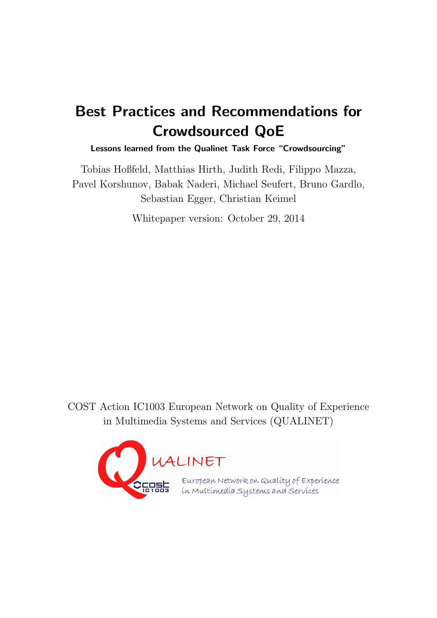# Best Practices and Recommendations for Crowdsourced QoE

Lessons learned from the Qualinet Task Force "Crowdsourcing"

Tobias Hoßfeld, Matthias Hirth, Judith Redi, Filippo Mazza, Pavel Korshunov, Babak Naderi, Michael Seufert, Bruno Gardlo, Sebastian Egger, Christian Keimel

Whitepaper version: October 29, 2014

COST Action IC1003 European Network on Quality of Experience in Multimedia Systems and Services (QUALINET)

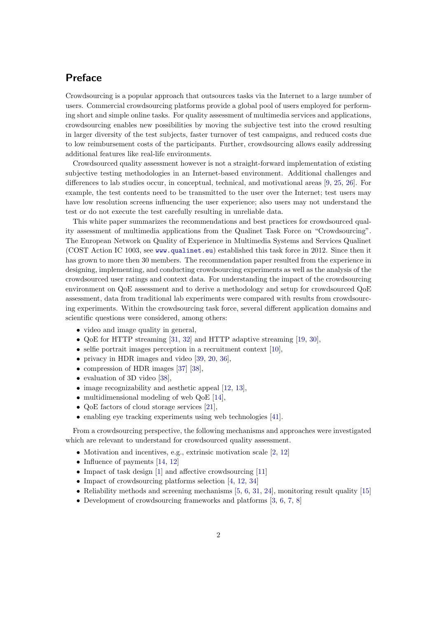## Preface

Crowdsourcing is a popular approach that outsources tasks via the Internet to a large number of users. Commercial crowdsourcing platforms provide a global pool of users employed for performing short and simple online tasks. For quality assessment of multimedia services and applications, crowdsourcing enables new possibilities by moving the subjective test into the crowd resulting in larger diversity of the test subjects, faster turnover of test campaigns, and reduced costs due to low reimbursement costs of the participants. Further, crowdsourcing allows easily addressing additional features like real-life environments.

Crowdsourced quality assessment however is not a straight-forward implementation of existing subjective testing methodologies in an Internet-based environment. Additional challenges and differences to lab studies occur, in conceptual, technical, and motivational areas [\[9,](#page-22-0) [25,](#page-24-0) [26\]](#page-24-1). For example, the test contents need to be transmitted to the user over the Internet; test users may have low resolution screens influencing the user experience; also users may not understand the test or do not execute the test carefully resulting in unreliable data.

This white paper summarizes the recommendations and best practices for crowdsourced quality assessment of multimedia applications from the Qualinet Task Force on "Crowdsourcing". The European Network on Quality of Experience in Multimedia Systems and Services Qualinet (COST Action IC 1003, see [www.qualinet.eu](www. qualinet.eu)) established this task force in 2012. Since then it has grown to more then 30 members. The recommendation paper resulted from the experience in designing, implementing, and conducting crowdsourcing experiments as well as the analysis of the crowdsourced user ratings and context data. For understanding the impact of the crowdsourcing environment on QoE assessment and to derive a methodology and setup for crowdsourced QoE assessment, data from traditional lab experiments were compared with results from crowdsourcing experiments. Within the crowdsourcing task force, several different application domains and scientific questions were considered, among others:

- video and image quality in general,
- QoE for HTTP streaming [\[31,](#page-24-2) [32\]](#page-24-3) and HTTP adaptive streaming [\[19,](#page-23-0) [30\]](#page-24-4),
- selfie portrait images perception in a recruitment context  $[10]$ ,
- privacy in HDR images and video [\[39,](#page-25-0) [20,](#page-23-1) [36\]](#page-24-5).
- compression of HDR images [\[37\]](#page-24-6) [\[38\]](#page-25-1),
- evaluation of 3D video [\[38\]](#page-25-1),
- $\bullet$  image recognizability and aesthetic appeal [\[12,](#page-23-2) [13\]](#page-23-3),
- multidimensional modeling of web QoE [\[14\]](#page-23-4),
- QoE factors of cloud storage services [\[21\]](#page-23-5),
- enabling eye tracking experiments using web technologies [\[41\]](#page-25-2).

From a crowdsourcing perspective, the following mechanisms and approaches were investigated which are relevant to understand for crowdsourced quality assessment.

- Motivation and incentives, e.g., extrinsic motivation scale [\[2,](#page-22-2) [12\]](#page-23-2)
- Influence of payments [\[14,](#page-23-4) [12\]](#page-23-2)
- Impact of task design [\[1\]](#page-22-3) and affective crowdsourcing [\[11\]](#page-23-6)
- Impact of crowdsourcing platforms selection [\[4,](#page-22-4) [12,](#page-23-2) [34\]](#page-24-7)
- Reliability methods and screening mechanisms  $[5, 6, 31, 24]$  $[5, 6, 31, 24]$  $[5, 6, 31, 24]$  $[5, 6, 31, 24]$  $[5, 6, 31, 24]$  $[5, 6, 31, 24]$  $[5, 6, 31, 24]$ , monitoring result quality  $[15]$
- Development of crowdsourcing frameworks and platforms [\[3,](#page-22-7) [6,](#page-22-6) [7,](#page-22-8) [8\]](#page-22-9)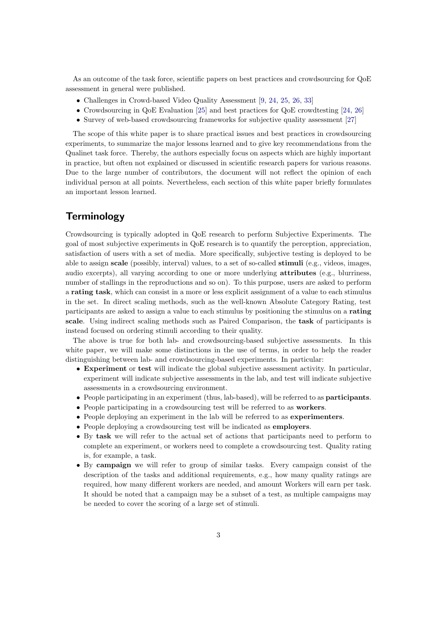As an outcome of the task force, scientific papers on best practices and crowdsourcing for QoE assessment in general were published.

- Challenges in Crowd-based Video Quality Assessment [\[9,](#page-22-0) [24,](#page-24-8) [25,](#page-24-0) [26,](#page-24-1) [33\]](#page-24-9)
- Crowdsourcing in QoE Evaluation [\[25\]](#page-24-0) and best practices for QoE crowdtesting [\[24,](#page-24-8) [26\]](#page-24-1)
- Survey of web-based crowdsourcing frameworks for subjective quality assessment [\[27\]](#page-24-10)

The scope of this white paper is to share practical issues and best practices in crowdsourcing experiments, to summarize the major lessons learned and to give key recommendations from the Qualinet task force. Thereby, the authors especially focus on aspects which are highly important in practice, but often not explained or discussed in scientific research papers for various reasons. Due to the large number of contributors, the document will not reflect the opinion of each individual person at all points. Nevertheless, each section of this white paper briefly formulates an important lesson learned.

### **Terminology**

Crowdsourcing is typically adopted in QoE research to perform Subjective Experiments. The goal of most subjective experiments in QoE research is to quantify the perception, appreciation, satisfaction of users with a set of media. More specifically, subjective testing is deployed to be able to assign scale (possibly, interval) values, to a set of so-called stimuli (e.g., videos, images, audio excerpts), all varying according to one or more underlying attributes (e.g., blurriness, number of stallings in the reproductions and so on). To this purpose, users are asked to perform a rating task, which can consist in a more or less explicit assignment of a value to each stimulus in the set. In direct scaling methods, such as the well-known Absolute Category Rating, test participants are asked to assign a value to each stimulus by positioning the stimulus on a rating scale. Using indirect scaling methods such as Paired Comparison, the task of participants is instead focused on ordering stimuli according to their quality.

The above is true for both lab- and crowdsourcing-based subjective assessments. In this white paper, we will make some distinctions in the use of terms, in order to help the reader distinguishing between lab- and crowdsourcing-based experiments. In particular:

- Experiment or test will indicate the global subjective assessment activity. In particular, experiment will indicate subjective assessments in the lab, and test will indicate subjective assessments in a crowdsourcing environment.
- People participating in an experiment (thus, lab-based), will be referred to as participants.
- People participating in a crowdsourcing test will be referred to as workers.
- People deploying an experiment in the lab will be referred to as experimenters.
- People deploying a crowdsourcing test will be indicated as employers.
- By task we will refer to the actual set of actions that participants need to perform to complete an experiment, or workers need to complete a crowdsourcing test. Quality rating is, for example, a task.
- By campaign we will refer to group of similar tasks. Every campaign consist of the description of the tasks and additional requirements, e.g., how many quality ratings are required, how many different workers are needed, and amount Workers will earn per task. It should be noted that a campaign may be a subset of a test, as multiple campaigns may be needed to cover the scoring of a large set of stimuli.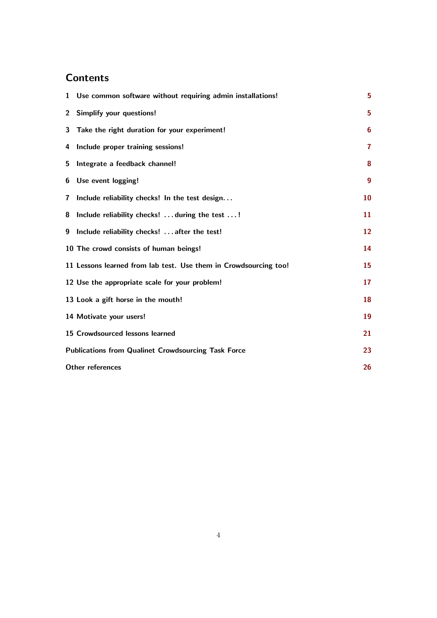# **Contents**

| $\mathbf 1$  | Use common software without requiring admin installations!       | 5                |
|--------------|------------------------------------------------------------------|------------------|
| $\mathbf{2}$ | <b>Simplify your questions!</b>                                  | 5                |
| 3            | Take the right duration for your experiment!                     | 6                |
| 4            | Include proper training sessions!                                | $\overline{7}$   |
| 5            | Integrate a feedback channel!                                    | 8                |
| 6            | Use event logging!                                               | $\boldsymbol{9}$ |
| $\mathbf{7}$ | Include reliability checks! In the test design                   | 10               |
| 8            | Include reliability checks!  during the test !                   | 11               |
| 9            | Include reliability checks!  after the test!                     | 12               |
|              | 10 The crowd consists of human beings!                           | 14               |
|              | 11 Lessons learned from lab test. Use them in Crowdsourcing too! | <b>15</b>        |
|              | 12 Use the appropriate scale for your problem!                   | 17               |
|              | 13 Look a gift horse in the mouth!                               | 18               |
|              | 14 Motivate your users!                                          | 19               |
|              | 15 Crowdsourced lessons learned                                  | 21               |
|              | <b>Publications from Qualinet Crowdsourcing Task Force</b>       | 23               |
|              | <b>Other references</b>                                          | 26               |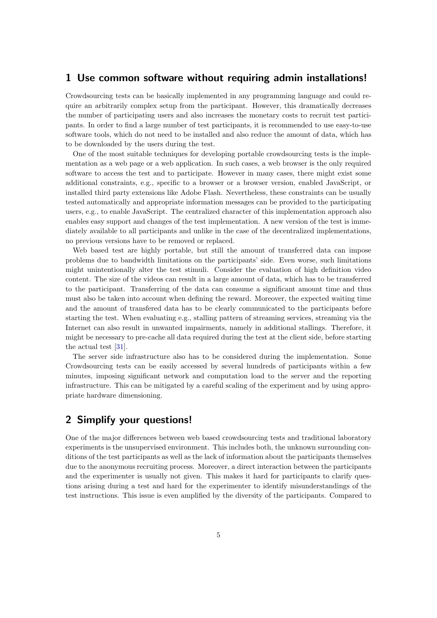#### <span id="page-4-0"></span>1 Use common software without requiring admin installations!

Crowdsourcing tests can be basically implemented in any programming language and could require an arbitrarily complex setup from the participant. However, this dramatically decreases the number of participating users and also increases the monetary costs to recruit test participants. In order to find a large number of test participants, it is recommended to use easy-to-use software tools, which do not need to be installed and also reduce the amount of data, which has to be downloaded by the users during the test.

One of the most suitable techniques for developing portable crowdsourcing tests is the implementation as a web page or a web application. In such cases, a web browser is the only required software to access the test and to participate. However in many cases, there might exist some additional constraints, e.g., specific to a browser or a browser version, enabled JavaScript, or installed third party extensions like Adobe Flash. Nevertheless, these constraints can be usually tested automatically and appropriate information messages can be provided to the participating users, e.g., to enable JavaScript. The centralized character of this implementation approach also enables easy support and changes of the test implementation. A new version of the test is immediately available to all participants and unlike in the case of the decentralized implementations, no previous versions have to be removed or replaced.

Web based test are highly portable, but still the amount of transferred data can impose problems due to bandwidth limitations on the participants' side. Even worse, such limitations might unintentionally alter the test stimuli. Consider the evaluation of high definition video content. The size of the videos can result in a large amount of data, which has to be transferred to the participant. Transferring of the data can consume a significant amount time and thus must also be taken into account when defining the reward. Moreover, the expected waiting time and the amount of transfered data has to be clearly communicated to the participants before starting the test. When evaluating e.g., stalling pattern of streaming services, streaming via the Internet can also result in unwanted impairments, namely in additional stallings. Therefore, it might be necessary to pre-cache all data required during the test at the client side, before starting the actual test [\[31\]](#page-24-2).

The server side infrastructure also has to be considered during the implementation. Some Crowdsourcing tests can be easily accessed by several hundreds of participants within a few minutes, imposing significant network and computation load to the server and the reporting infrastructure. This can be mitigated by a careful scaling of the experiment and by using appropriate hardware dimensioning.

### <span id="page-4-1"></span>2 Simplify your questions!

One of the major differences between web based crowdsourcing tests and traditional laboratory experiments is the unsupervised environment. This includes both, the unknown surrounding conditions of the test participants as well as the lack of information about the participants themselves due to the anonymous recruiting process. Moreover, a direct interaction between the participants and the experimenter is usually not given. This makes it hard for participants to clarify questions arising during a test and hard for the experimenter to identify misunderstandings of the test instructions. This issue is even amplified by the diversity of the participants. Compared to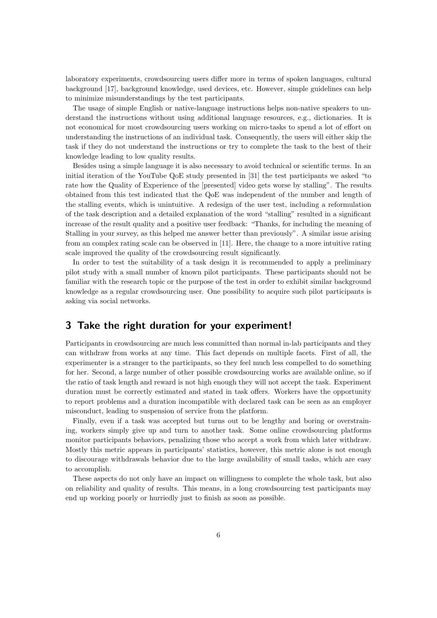laboratory experiments, crowdsourcing users differ more in terms of spoken languages, cultural background [\[17\]](#page-23-8), background knowledge, used devices, etc. However, simple guidelines can help to minimize misunderstandings by the test participants.

The usage of simple English or native-language instructions helps non-native speakers to understand the instructions without using additional language resources, e.g., dictionaries. It is not economical for most crowdsourcing users working on micro-tasks to spend a lot of effort on understanding the instructions of an individual task. Consequently, the users will either skip the task if they do not understand the instructions or try to complete the task to the best of their knowledge leading to low quality results.

Besides using a simple language it is also necessary to avoid technical or scientific terms. In an initial iteration of the YouTube QoE study presented in [\[31\]](#page-24-2) the test participants we asked "to rate how the Quality of Experience of the [presented] video gets worse by stalling". The results obtained from this test indicated that the QoE was independent of the number and length of the stalling events, which is unintuitive. A redesign of the user test, including a reformulation of the task description and a detailed explanation of the word "stalling" resulted in a significant increase of the result quality and a positive user feedback: "Thanks, for including the meaning of Stalling in your survey, as this helped me answer better than previously". A similar issue arising from an complex rating scale can be observed in [\[11\]](#page-23-6). Here, the change to a more intuitive rating scale improved the quality of the crowdsourcing result significantly.

In order to test the suitability of a task design it is recommended to apply a preliminary pilot study with a small number of known pilot participants. These participants should not be familiar with the research topic or the purpose of the test in order to exhibit similar background knowledge as a regular crowdsourcing user. One possibility to acquire such pilot participants is asking via social networks.

#### <span id="page-5-0"></span>3 Take the right duration for your experiment!

Participants in crowdsourcing are much less committed than normal in-lab participants and they can withdraw from works at any time. This fact depends on multiple facets. First of all, the experimenter is a stranger to the participants, so they feel much less compelled to do something for her. Second, a large number of other possible crowdsourcing works are available online, so if the ratio of task length and reward is not high enough they will not accept the task. Experiment duration must be correctly estimated and stated in task offers. Workers have the opportunity to report problems and a duration incompatible with declared task can be seen as an employer misconduct, leading to suspension of service from the platform.

Finally, even if a task was accepted but turns out to be lengthy and boring or overstraining, workers simply give up and turn to another task. Some online crowdsourcing platforms monitor participants behaviors, penalizing those who accept a work from which later withdraw. Mostly this metric appears in participants' statistics, however, this metric alone is not enough to discourage withdrawals behavior due to the large availability of small tasks, which are easy to accomplish.

These aspects do not only have an impact on willingness to complete the whole task, but also on reliability and quality of results. This means, in a long crowdsourcing test participants may end up working poorly or hurriedly just to finish as soon as possible.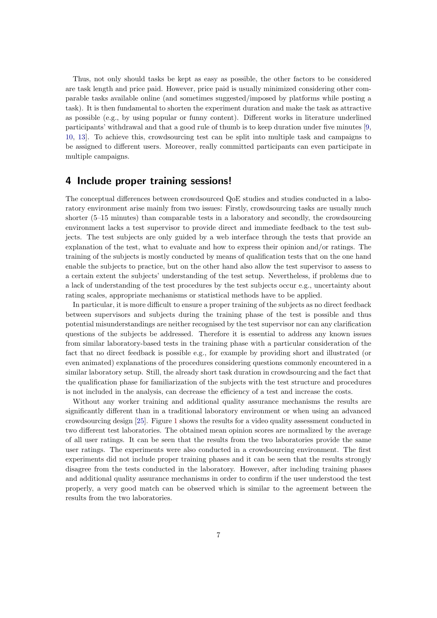Thus, not only should tasks be kept as easy as possible, the other factors to be considered are task length and price paid. However, price paid is usually minimized considering other comparable tasks available online (and sometimes suggested/imposed by platforms while posting a task). It is then fundamental to shorten the experiment duration and make the task as attractive as possible (e.g., by using popular or funny content). Different works in literature underlined participants' withdrawal and that a good rule of thumb is to keep duration under five minutes [\[9,](#page-22-0) [10,](#page-22-1) [13\]](#page-23-3). To achieve this, crowdsourcing test can be split into multiple task and campaigns to be assigned to different users. Moreover, really committed participants can even participate in multiple campaigns.

#### <span id="page-6-0"></span>4 Include proper training sessions!

The conceptual differences between crowdsourced QoE studies and studies conducted in a laboratory environment arise mainly from two issues: Firstly, crowdsourcing tasks are usually much shorter (5–15 minutes) than comparable tests in a laboratory and secondly, the crowdsourcing environment lacks a test supervisor to provide direct and immediate feedback to the test subjects. The test subjects are only guided by a web interface through the tests that provide an explanation of the test, what to evaluate and how to express their opinion and/or ratings. The training of the subjects is mostly conducted by means of qualification tests that on the one hand enable the subjects to practice, but on the other hand also allow the test supervisor to assess to a certain extent the subjects' understanding of the test setup. Nevertheless, if problems due to a lack of understanding of the test procedures by the test subjects occur e.g., uncertainty about rating scales, appropriate mechanisms or statistical methods have to be applied.

In particular, it is more difficult to ensure a proper training of the subjects as no direct feedback between supervisors and subjects during the training phase of the test is possible and thus potential misunderstandings are neither recognised by the test supervisor nor can any clarification questions of the subjects be addressed. Therefore it is essential to address any known issues from similar laboratory-based tests in the training phase with a particular consideration of the fact that no direct feedback is possible e.g., for example by providing short and illustrated (or even animated) explanations of the procedures considering questions commonly encountered in a similar laboratory setup. Still, the already short task duration in crowdsourcing and the fact that the qualification phase for familiarization of the subjects with the test structure and procedures is not included in the analysis, can decrease the efficiency of a test and increase the costs.

Without any worker training and additional quality assurance mechanisms the results are significantly different than in a traditional laboratory environment or when using an advanced crowdsourcing design [\[25\]](#page-24-0). Figure [1](#page-7-1) shows the results for a video quality assessment conducted in two different test laboratories. The obtained mean opinion scores are normalized by the average of all user ratings. It can be seen that the results from the two laboratories provide the same user ratings. The experiments were also conducted in a crowdsourcing environment. The first experiments did not include proper training phases and it can be seen that the results strongly disagree from the tests conducted in the laboratory. However, after including training phases and additional quality assurance mechanisms in order to confirm if the user understood the test properly, a very good match can be observed which is similar to the agreement between the results from the two laboratories.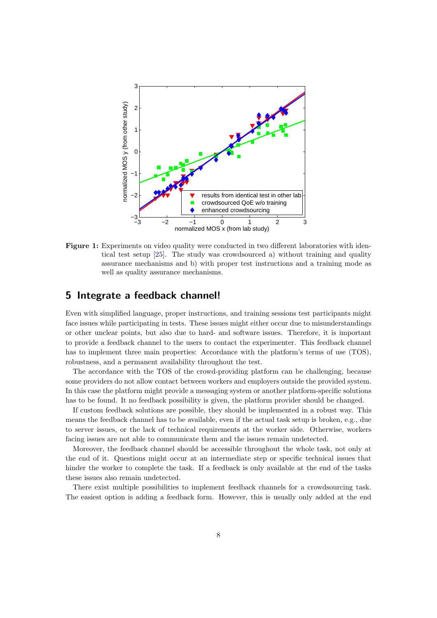<span id="page-7-1"></span>

Figure 1: Experiments on video quality were conducted in two different laboratories with identical test setup [\[25\]](#page-24-0). The study was crowdsourced a) without training and quality assurance mechanisms and b) with proper test instructions and a training mode as well as quality assurance mechanisms.

### <span id="page-7-0"></span>5 Integrate a feedback channel!

Even with simplified language, proper instructions, and training sessions test participants might face issues while participating in tests. These issues might either occur due to misunderstandings or other unclear points, but also due to hard- and software issues. Therefore, it is important to provide a feedback channel to the users to contact the experimenter. This feedback channel has to implement three main properties: Accordance with the platform's terms of use (TOS), robustness, and a permanent availability throughout the test.

The accordance with the TOS of the crowd-providing platform can be challenging, because some providers do not allow contact between workers and employers outside the provided system. In this case the platform might provide a messaging system or another platform-specific solutions has to be found. It no feedback possibility is given, the platform provider should be changed.

If custom feedback solutions are possible, they should be implemented in a robust way. This means the feedback channel has to be available, even if the actual task setup is broken, e.g., due to server issues, or the lack of technical requirements at the worker side. Otherwise, workers facing issues are not able to communicate them and the issues remain undetected.

Moreover, the feedback channel should be accessible throughout the whole task, not only at the end of it. Questions might occur at an intermediate step or specific technical issues that hinder the worker to complete the task. If a feedback is only available at the end of the tasks these issues also remain undetected.

There exist multiple possibilities to implement feedback channels for a crowdsourcing task. The easiest option is adding a feedback form. However, this is usually only added at the end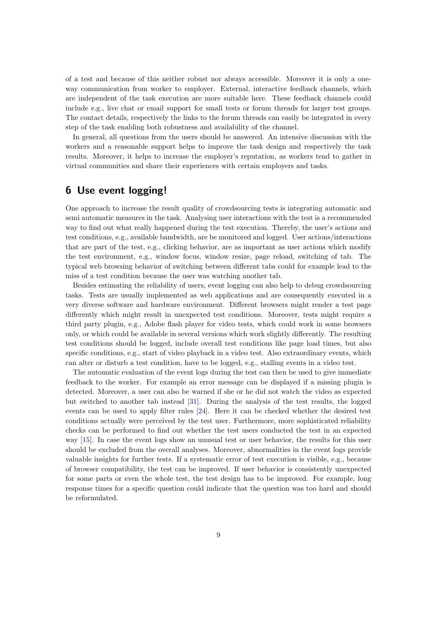of a test and because of this neither robust nor always accessible. Moreover it is only a oneway communication from worker to employer. External, interactive feedback channels, which are independent of the task execution are more suitable here. These feedback channels could include e.g., live chat or email support for small tests or forum threads for larger test groups. The contact details, respectively the links to the forum threads can easily be integrated in every step of the task enabling both robustness and availability of the channel.

In general, all questions from the users should be answered. An intensive discussion with the workers and a reasonable support helps to improve the task design and respectively the task results. Moreover, it helps to increase the employer's reputation, as workers tend to gather in virtual communities and share their experiences with certain employers and tasks.

## <span id="page-8-0"></span>6 Use event logging!

One approach to increase the result quality of crowdsourcing tests is integrating automatic and semi automatic measures in the task. Analysing user interactions with the test is a recommended way to find out what really happened during the test execution. Thereby, the user's actions and test conditions, e.g., available bandwidth, are be monitored and logged. User actions/interactions that are part of the test, e.g., clicking behavior, are as important as user actions which modify the test environment, e.g., window focus, window resize, page reload, switching of tab. The typical web browsing behavior of switching between different tabs could for example lead to the miss of a test condition because the user was watching another tab.

Besides estimating the reliability of users, event logging can also help to debug crowdsourcing tasks. Tests are usually implemented as web applications and are consequently executed in a very diverse software and hardware environment. Different browsers might render a test page differently which might result in unexpected test conditions. Moreover, tests might require a third party plugin, e.g., Adobe flash player for video tests, which could work in some browsers only, or which could be available in several versions which work slightly differently. The resulting test conditions should be logged, include overall test conditions like page load times, but also specific conditions, e.g., start of video playback in a video test. Also extraordinary events, which can alter or disturb a test condition, have to be logged, e.g., stalling events in a video test.

The automatic evaluation of the event logs during the test can then be used to give immediate feedback to the worker. For example an error message can be displayed if a missing plugin is detected. Moreover, a user can also be warned if she or he did not watch the video as expected but switched to another tab instead [\[31\]](#page-24-2). During the analysis of the test results, the logged events can be used to apply filter rules [\[24\]](#page-24-8). Here it can be checked whether the desired test conditions actually were perceived by the test user. Furthermore, more sophisticated reliability checks can be performed to find out whether the test users conducted the test in an expected way [\[15\]](#page-23-7). In case the event logs show an unusual test or user behavior, the results for this user should be excluded from the overall analyses. Moreover, abnormalities in the event logs provide valuable insights for further tests. If a systematic error of test execution is visible, e.g., because of browser compatibility, the test can be improved. If user behavior is consistently unexpected for some parts or even the whole test, the test design has to be improved. For example, long response times for a specific question could indicate that the question was too hard and should be reformulated.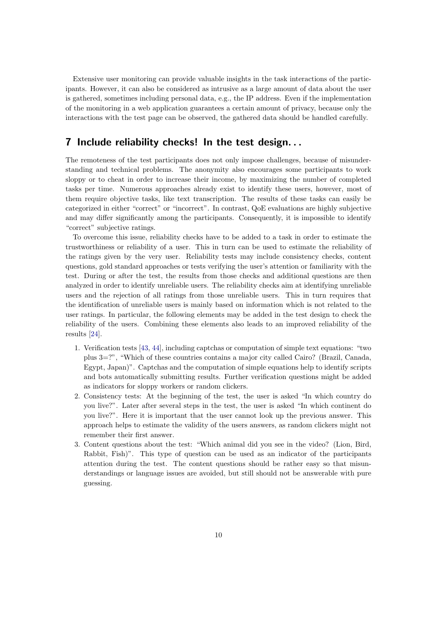Extensive user monitoring can provide valuable insights in the task interactions of the participants. However, it can also be considered as intrusive as a large amount of data about the user is gathered, sometimes including personal data, e.g., the IP address. Even if the implementation of the monitoring in a web application guarantees a certain amount of privacy, because only the interactions with the test page can be observed, the gathered data should be handled carefully.

#### <span id="page-9-0"></span>7 Include reliability checks! In the test design. . .

The remoteness of the test participants does not only impose challenges, because of misunderstanding and technical problems. The anonymity also encourages some participants to work sloppy or to cheat in order to increase their income, by maximizing the number of completed tasks per time. Numerous approaches already exist to identify these users, however, most of them require objective tasks, like text transcription. The results of these tasks can easily be categorized in either "correct" or "incorrect". In contrast, QoE evaluations are highly subjective and may differ significantly among the participants. Consequently, it is impossible to identify "correct" subjective ratings.

To overcome this issue, reliability checks have to be added to a task in order to estimate the trustworthiness or reliability of a user. This in turn can be used to estimate the reliability of the ratings given by the very user. Reliability tests may include consistency checks, content questions, gold standard approaches or tests verifying the user's attention or familiarity with the test. During or after the test, the results from those checks and additional questions are then analyzed in order to identify unreliable users. The reliability checks aim at identifying unreliable users and the rejection of all ratings from those unreliable users. This in turn requires that the identification of unreliable users is mainly based on information which is not related to the user ratings. In particular, the following elements may be added in the test design to check the reliability of the users. Combining these elements also leads to an improved reliability of the results [\[24\]](#page-24-8).

- 1. Verification tests [\[43,](#page-25-4) [44\]](#page-25-5), including captchas or computation of simple text equations: "two plus 3=?", "Which of these countries contains a major city called Cairo? (Brazil, Canada, Egypt, Japan)". Captchas and the computation of simple equations help to identify scripts and bots automatically submitting results. Further verification questions might be added as indicators for sloppy workers or random clickers.
- 2. Consistency tests: At the beginning of the test, the user is asked "In which country do you live?". Later after several steps in the test, the user is asked "In which continent do you live?". Here it is important that the user cannot look up the previous answer. This approach helps to estimate the validity of the users answers, as random clickers might not remember their first answer.
- 3. Content questions about the test: "Which animal did you see in the video? (Lion, Bird, Rabbit, Fish)". This type of question can be used as an indicator of the participants attention during the test. The content questions should be rather easy so that misunderstandings or language issues are avoided, but still should not be answerable with pure guessing.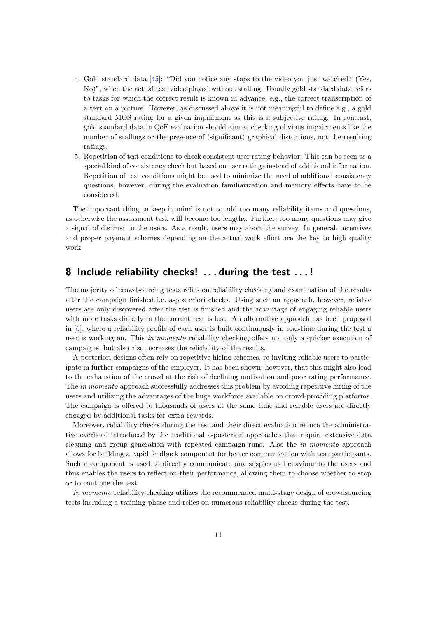- 4. Gold standard data [\[45\]](#page-25-6): "Did you notice any stops to the video you just watched? (Yes, No)", when the actual test video played without stalling. Usually gold standard data refers to tasks for which the correct result is known in advance, e.g., the correct transcription of a text on a picture. However, as discussed above it is not meaningful to define e.g., a gold standard MOS rating for a given impairment as this is a subjective rating. In contrast, gold standard data in QoE evaluation should aim at checking obvious impairments like the number of stallings or the presence of (significant) graphical distortions, not the resulting ratings.
- 5. Repetition of test conditions to check consistent user rating behavior: This can be seen as a special kind of consistency check but based on user ratings instead of additional information. Repetition of test conditions might be used to minimize the need of additional consistency questions, however, during the evaluation familiarization and memory effects have to be considered.

The important thing to keep in mind is not to add too many reliability items and questions, as otherwise the assessment task will become too lengthy. Further, too many questions may give a signal of distrust to the users. As a result, users may abort the survey. In general, incentives and proper payment schemes depending on the actual work effort are the key to high quality work.

#### <span id="page-10-0"></span>8 Include reliability checks! . . . during the test . . . !

The majority of crowdsourcing tests relies on reliability checking and examination of the results after the campaign finished i.e. a-posteriori checks. Using such an approach, however, reliable users are only discovered after the test is finished and the advantage of engaging reliable users with more tasks directly in the current test is lost. An alternative approach has been proposed in [\[6\]](#page-22-6), where a reliability profile of each user is built continuously in real-time during the test a user is working on. This *in momento* reliability checking offers not only a quicker execution of campaigns, but also also increases the reliability of the results.

A-posteriori designs often rely on repetitive hiring schemes, re-inviting reliable users to participate in further campaigns of the employer. It has been shown, however, that this might also lead to the exhaustion of the crowd at the risk of declining motivation and poor rating performance. The in momento approach successfully addresses this problem by avoiding repetitive hiring of the users and utilizing the advantages of the huge workforce available on crowd-providing platforms. The campaign is offered to thousands of users at the same time and reliable users are directly engaged by additional tasks for extra rewards.

Moreover, reliability checks during the test and their direct evaluation reduce the administrative overhead introduced by the traditional a-posteriori approaches that require extensive data cleaning and group generation with repeated campaign runs. Also the in momento approach allows for building a rapid feedback component for better communication with test participants. Such a component is used to directly communicate any suspicious behaviour to the users and thus enables the users to reflect on their performance, allowing them to choose whether to stop or to continue the test.

In momento reliability checking utilizes the recommended multi-stage design of crowdsourcing tests including a training-phase and relies on numerous reliability checks during the test.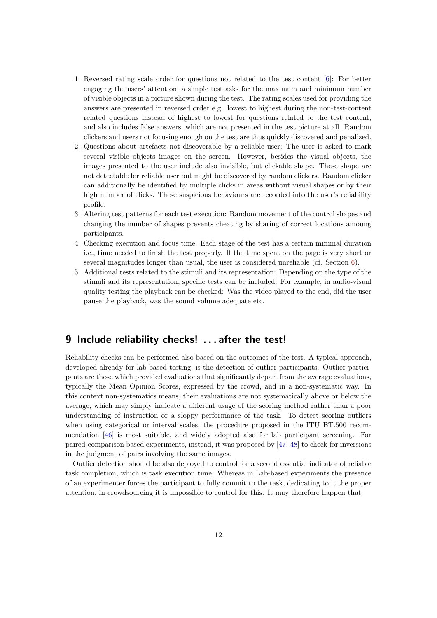- 1. Reversed rating scale order for questions not related to the test content [\[6\]](#page-22-6): For better engaging the users' attention, a simple test asks for the maximum and minimum number of visible objects in a picture shown during the test. The rating scales used for providing the answers are presented in reversed order e.g., lowest to highest during the non-test-content related questions instead of highest to lowest for questions related to the test content, and also includes false answers, which are not presented in the test picture at all. Random clickers and users not focusing enough on the test are thus quickly discovered and penalized.
- 2. Questions about artefacts not discoverable by a reliable user: The user is asked to mark several visible objects images on the screen. However, besides the visual objects, the images presented to the user include also invisible, but clickable shape. These shape are not detectable for reliable user but might be discovered by random clickers. Random clicker can additionally be identified by multiple clicks in areas without visual shapes or by their high number of clicks. These suspicious behaviours are recorded into the user's reliability profile.
- 3. Altering test patterns for each test execution: Random movement of the control shapes and changing the number of shapes prevents cheating by sharing of correct locations amoung participants.
- 4. Checking execution and focus time: Each stage of the test has a certain minimal duration i.e., time needed to finish the test properly. If the time spent on the page is very short or several magnitudes longer than usual, the user is considered unreliable (cf. Section [6\)](#page-8-0).
- 5. Additional tests related to the stimuli and its representation: Depending on the type of the stimuli and its representation, specific tests can be included. For example, in audio-visual quality testing the playback can be checked: Was the video played to the end, did the user pause the playback, was the sound volume adequate etc.

#### <span id="page-11-0"></span>9 Include reliability checks! . . . after the test!

Reliability checks can be performed also based on the outcomes of the test. A typical approach, developed already for lab-based testing, is the detection of outlier participants. Outlier participants are those which provided evaluations that significantly depart from the average evaluations, typically the Mean Opinion Scores, expressed by the crowd, and in a non-systematic way. In this context non-systematics means, their evaluations are not systematically above or below the average, which may simply indicate a different usage of the scoring method rather than a poor understanding of instruction or a sloppy performance of the task. To detect scoring outliers when using categorical or interval scales, the procedure proposed in the ITU BT.500 recommendation [\[46\]](#page-25-7) is most suitable, and widely adopted also for lab participant screening. For paired-comparison based experiments, instead, it was proposed by [\[47,](#page-25-8) [48\]](#page-25-9) to check for inversions in the judgment of pairs involving the same images.

Outlier detection should be also deployed to control for a second essential indicator of reliable task completion, which is task execution time. Whereas in Lab-based experiments the presence of an experimenter forces the participant to fully commit to the task, dedicating to it the proper attention, in crowdsourcing it is impossible to control for this. It may therefore happen that: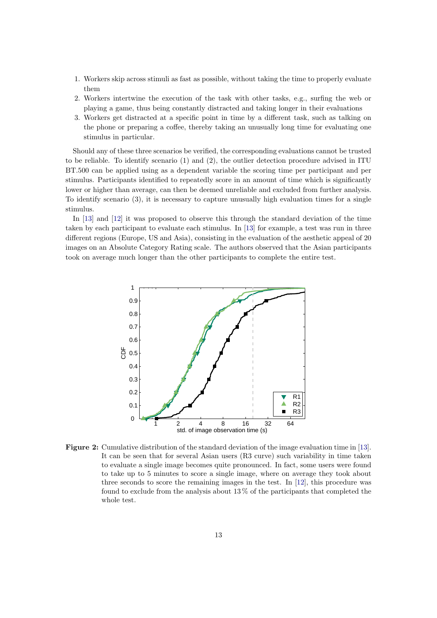- 1. Workers skip across stimuli as fast as possible, without taking the time to properly evaluate them
- 2. Workers intertwine the execution of the task with other tasks, e.g., surfing the web or playing a game, thus being constantly distracted and taking longer in their evaluations
- 3. Workers get distracted at a specific point in time by a different task, such as talking on the phone or preparing a coffee, thereby taking an unusually long time for evaluating one stimulus in particular.

Should any of these three scenarios be verified, the corresponding evaluations cannot be trusted to be reliable. To identify scenario (1) and (2), the outlier detection procedure advised in ITU BT.500 can be applied using as a dependent variable the scoring time per participant and per stimulus. Participants identified to repeatedly score in an amount of time which is significantly lower or higher than average, can then be deemed unreliable and excluded from further analysis. To identify scenario (3), it is necessary to capture unusually high evaluation times for a single stimulus.

In [\[13\]](#page-23-3) and [\[12\]](#page-23-2) it was proposed to observe this through the standard deviation of the time taken by each participant to evaluate each stimulus. In [\[13\]](#page-23-3) for example, a test was run in three different regions (Europe, US and Asia), consisting in the evaluation of the aesthetic appeal of 20 images on an Absolute Category Rating scale. The authors observed that the Asian participants took on average much longer than the other participants to complete the entire test.

<span id="page-12-0"></span>

Figure 2: Cumulative distribution of the standard deviation of the image evaluation time in [\[13\]](#page-23-3). It can be seen that for several Asian users (R3 curve) such variability in time taken to evaluate a single image becomes quite pronounced. In fact, some users were found to take up to 5 minutes to score a single image, where on average they took about three seconds to score the remaining images in the test. In [\[12\]](#page-23-2), this procedure was found to exclude from the analysis about 13 % of the participants that completed the whole test.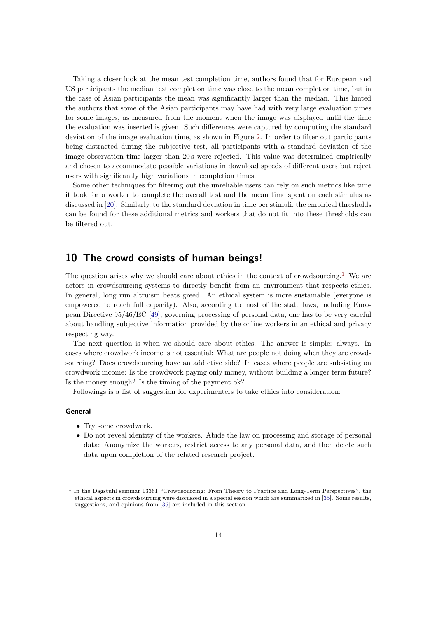Taking a closer look at the mean test completion time, authors found that for European and US participants the median test completion time was close to the mean completion time, but in the case of Asian participants the mean was significantly larger than the median. This hinted the authors that some of the Asian participants may have had with very large evaluation times for some images, as measured from the moment when the image was displayed until the time the evaluation was inserted is given. Such differences were captured by computing the standard deviation of the image evaluation time, as shown in Figure [2.](#page-12-0) In order to filter out participants being distracted during the subjective test, all participants with a standard deviation of the image observation time larger than 20 s were rejected. This value was determined empirically and chosen to accommodate possible variations in download speeds of different users but reject users with significantly high variations in completion times.

Some other techniques for filtering out the unreliable users can rely on such metrics like time it took for a worker to complete the overall test and the mean time spent on each stimulus as discussed in [\[20\]](#page-23-1). Similarly, to the standard deviation in time per stimuli, the empirical thresholds can be found for these additional metrics and workers that do not fit into these thresholds can be filtered out.

#### <span id="page-13-0"></span>10 The crowd consists of human beings!

The question arises why we should care about ethics in the context of crowdsourcing.<sup>[1](#page-13-1)</sup> We are actors in crowdsourcing systems to directly benefit from an environment that respects ethics. In general, long run altruism beats greed. An ethical system is more sustainable (everyone is empowered to reach full capacity). Also, according to most of the state laws, including European Directive 95/46/EC [\[49\]](#page-25-10), governing processing of personal data, one has to be very careful about handling subjective information provided by the online workers in an ethical and privacy respecting way.

The next question is when we should care about ethics. The answer is simple: always. In cases where crowdwork income is not essential: What are people not doing when they are crowdsourcing? Does crowdsourcing have an addictive side? In cases where people are subsisting on crowdwork income: Is the crowdwork paying only money, without building a longer term future? Is the money enough? Is the timing of the payment ok?

Followings is a list of suggestion for experimenters to take ethics into consideration:

#### General

- Try some crowdwork.
- Do not reveal identity of the workers. Abide the law on processing and storage of personal data: Anonymize the workers, restrict access to any personal data, and then delete such data upon completion of the related research project.

<span id="page-13-1"></span><sup>&</sup>lt;sup>1</sup> In the Dagstuhl seminar 13361 "Crowdsourcing: From Theory to Practice and Long-Term Perspectives", the ethical aspects in crowdsourcing were discussed in a special session which are summarized in [\[35\]](#page-24-11). Some results, suggestions, and opinions from [\[35\]](#page-24-11) are included in this section.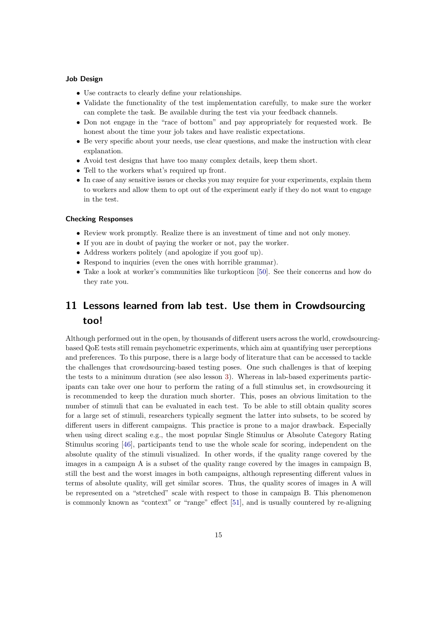#### Job Design

- Use contracts to clearly define your relationships.
- Validate the functionality of the test implementation carefully, to make sure the worker can complete the task. Be available during the test via your feedback channels.
- Don not engage in the "race of bottom" and pay appropriately for requested work. Be honest about the time your job takes and have realistic expectations.
- Be very specific about your needs, use clear questions, and make the instruction with clear explanation.
- Avoid test designs that have too many complex details, keep them short.
- Tell to the workers what's required up front.
- In case of any sensitive issues or checks you may require for your experiments, explain them to workers and allow them to opt out of the experiment early if they do not want to engage in the test.

#### Checking Responses

- Review work promptly. Realize there is an investment of time and not only money.
- If you are in doubt of paying the worker or not, pay the worker.
- Address workers politely (and apologize if you goof up).
- Respond to inquiries (even the ones with horrible grammar).
- Take a look at worker's communities like turkopticon [\[50\]](#page-25-11). See their concerns and how do they rate you.

# <span id="page-14-0"></span>11 Lessons learned from lab test. Use them in Crowdsourcing too!

Although performed out in the open, by thousands of different users across the world, crowdsourcingbased QoE tests still remain psychometric experiments, which aim at quantifying user perceptions and preferences. To this purpose, there is a large body of literature that can be accessed to tackle the challenges that crowdsourcing-based testing poses. One such challenges is that of keeping the tests to a minimum duration (see also lesson [3\)](#page-5-0). Whereas in lab-based experiments participants can take over one hour to perform the rating of a full stimulus set, in crowdsourcing it is recommended to keep the duration much shorter. This, poses an obvious limitation to the number of stimuli that can be evaluated in each test. To be able to still obtain quality scores for a large set of stimuli, researchers typically segment the latter into subsets, to be scored by different users in different campaigns. This practice is prone to a major drawback. Especially when using direct scaling e.g., the most popular Single Stimulus or Absolute Category Rating Stimulus scoring [\[46\]](#page-25-7), participants tend to use the whole scale for scoring, independent on the absolute quality of the stimuli visualized. In other words, if the quality range covered by the images in a campaign A is a subset of the quality range covered by the images in campaign B, still the best and the worst images in both campaigns, although representing different values in terms of absolute quality, will get similar scores. Thus, the quality scores of images in A will be represented on a "stretched" scale with respect to those in campaign B. This phenomenon is commonly known as "context" or "range" effect [\[51\]](#page-25-12), and is usually countered by re-aligning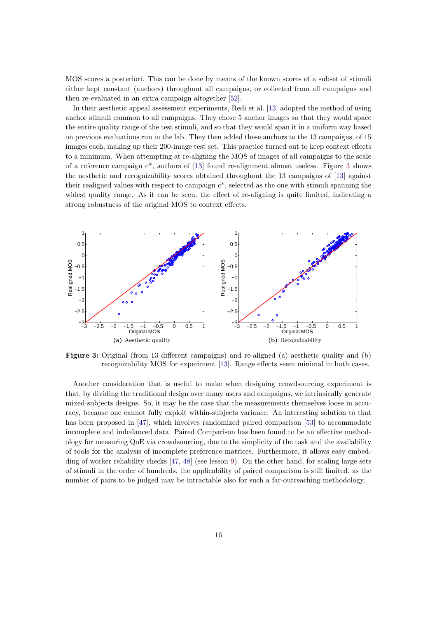MOS scores a posteriori. This can be done by means of the known scores of a subset of stimuli either kept constant (anchors) throughout all campaigns, or collected from all campaigns and then re-evaluated in an extra campaign altogether [\[52\]](#page-26-0).

In their aesthetic appeal assessment experiments, Redi et al. [\[13\]](#page-23-3) adopted the method of using anchor stimuli common to all campaigns. They chose 5 anchor images so that they would space the entire quality range of the test stimuli, and so that they would span it in a uniform way based on previous evaluations run in the lab. They then added these anchors to the 13 campaigns, of 15 images each, making up their 200-image test set. This practice turned out to keep context effects to a minimum. When attempting at re-aligning the MOS of images of all campaigns to the scale of a reference campaign c\*, authors of [\[13\]](#page-23-3) found re-alignment almost useless. Figure [3](#page-15-0) shows the aesthetic and recognizability scores obtained throughout the 13 campaigns of [\[13\]](#page-23-3) against their realigned values with respect to campaign  $c^*$ , selected as the one with stimuli spanning the widest quality range. As it can be seen, the effect of re-aligning is quite limited, indicating a strong robustness of the original MOS to context effects.

<span id="page-15-0"></span>

Figure 3: Original (from 13 different campaigns) and re-aligned (a) aesthetic quality and (b) recognizability MOS for experiment [\[13\]](#page-23-3). Range effects seem minimal in both cases.

Another consideration that is useful to make when designing crowdsourcing experiment is that, by dividing the traditional design over many users and campaigns, we intrinsically generate mixed-subjects designs. So, it may be the case that the measurements themselves loose in accuracy, because one cannot fully exploit within-subjects variance. An interesting solution to that has been proposed in [\[47\]](#page-25-8), which involves randomized paired comparison [\[53\]](#page-26-1) to accommodate incomplete and imbalanced data. Paired Comparison has been found to be an effective methodology for measuring QoE via crowdsourcing, due to the simplicity of the task and the availability of tools for the analysis of incomplete preference matrices. Furthermore, it allows easy embedding of worker reliability checks [\[47,](#page-25-8) [48\]](#page-25-9) (see lesson [9\)](#page-11-0). On the other hand, for scaling large sets of stimuli in the order of hundreds, the applicability of paired comparison is still limited, as the number of pairs to be judged may be intractable also for such a far-outreaching methodology.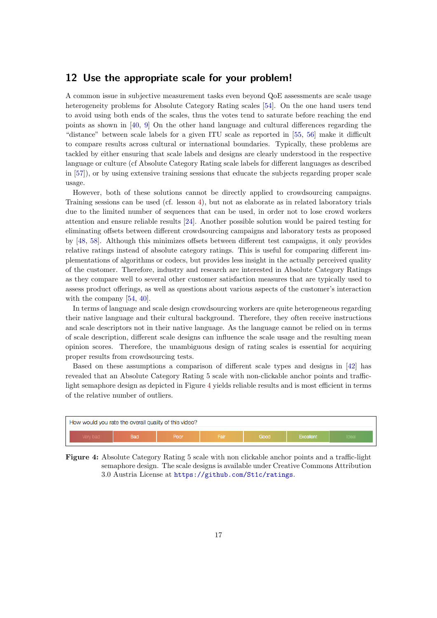#### <span id="page-16-0"></span>12 Use the appropriate scale for your problem!

A common issue in subjective measurement tasks even beyond QoE assessments are scale usage heterogeneity problems for Absolute Category Rating scales [\[54\]](#page-26-2). On the one hand users tend to avoid using both ends of the scales, thus the votes tend to saturate before reaching the end points as shown in [\[40,](#page-25-13) [9\]](#page-22-0) On the other hand language and cultural differences regarding the "distance" between scale labels for a given ITU scale as reported in [\[55,](#page-26-3) [56\]](#page-26-4) make it difficult to compare results across cultural or international boundaries. Typically, these problems are tackled by either ensuring that scale labels and designs are clearly understood in the respective language or culture (cf Absolute Category Rating scale labels for different languages as described in [\[57\]](#page-26-5)), or by using extensive training sessions that educate the subjects regarding proper scale usage.

However, both of these solutions cannot be directly applied to crowdsourcing campaigns. Training sessions can be used (cf. lesson [4\)](#page-6-0), but not as elaborate as in related laboratory trials due to the limited number of sequences that can be used, in order not to lose crowd workers attention and ensure reliable results [\[24\]](#page-24-8). Another possible solution would be paired testing for eliminating offsets between different crowdsourcing campaigns and laboratory tests as proposed by [\[48,](#page-25-9) [58\]](#page-26-6). Although this minimizes offsets between different test campaigns, it only provides relative ratings instead of absolute category ratings. This is useful for comparing different implementations of algorithms or codecs, but provides less insight in the actually perceived quality of the customer. Therefore, industry and research are interested in Absolute Category Ratings as they compare well to several other customer satisfaction measures that are typically used to assess product offerings, as well as questions about various aspects of the customer's interaction with the company [\[54,](#page-26-2) [40\]](#page-25-13).

In terms of language and scale design crowdsourcing workers are quite heterogeneous regarding their native language and their cultural background. Therefore, they often receive instructions and scale descriptors not in their native language. As the language cannot be relied on in terms of scale description, different scale designs can influence the scale usage and the resulting mean opinion scores. Therefore, the unambiguous design of rating scales is essential for acquiring proper results from crowdsourcing tests.

Based on these assumptions a comparison of different scale types and designs in [\[42\]](#page-25-14) has revealed that an Absolute Category Rating 5 scale with non-clickable anchor points and trafficlight semaphore design as depicted in Figure [4](#page-16-1) yields reliable results and is most efficient in terms of the relative number of outliers.

<span id="page-16-1"></span>

Figure 4: Absolute Category Rating 5 scale with non clickable anchor points and a traffic-light semaphore design. The scale designs is available under Creative Commons Attribution 3.0 Austria License at <https://github.com/St1c/ratings>.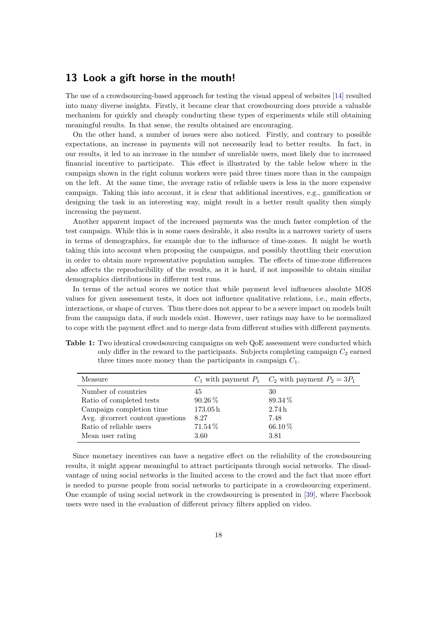#### <span id="page-17-0"></span>13 Look a gift horse in the mouth!

The use of a crowdsourcing-based approach for testing the visual appeal of websites [\[14\]](#page-23-4) resulted into many diverse insights. Firstly, it became clear that crowdsourcing does provide a valuable mechanism for quickly and cheaply conducting these types of experiments while still obtaining meaningful results. In that sense, the results obtained are encouraging.

On the other hand, a number of issues were also noticed. Firstly, and contrary to possible expectations, an increase in payments will not necessarily lead to better results. In fact, in our results, it led to an increase in the number of unreliable users, most likely due to increased financial incentive to participate. This effect is illustrated by the table below where in the campaign shown in the right column workers were paid three times more than in the campaign on the left. At the same time, the average ratio of reliable users is less in the more expensive campaign. Taking this into account, it is clear that additional incentives, e.g., gamification or designing the task in an interesting way, might result in a better result quality then simply increasing the payment.

Another apparent impact of the increased payments was the much faster completion of the test campaign. While this is in some cases desirable, it also results in a narrower variety of users in terms of demographics, for example due to the influence of time-zones. It might be worth taking this into account when proposing the campaigns, and possibly throttling their execution in order to obtain more representative population samples. The effects of time-zone differences also affects the reproducibility of the results, as it is hard, if not impossible to obtain similar demographics distributions in different test runs.

In terms of the actual scores we notice that while payment level influences absolute MOS values for given assessment tests, it does not influence qualitative relations, i.e., main effects, interactions, or shape of curves. Thus there does not appear to be a severe impact on models built from the campaign data, if such models exist. However, user ratings may have to be normalized to cope with the payment effect and to merge data from different studies with different payments.

Table 1: Two identical crowdsourcing campaigns on web QoE assessment were conducted which only differ in the reward to the participants. Subjects completing campaign  $C_2$  earned three times more money than the participants in campaign  $C_1$ .

| Measure                              |                     | $C_1$ with payment $P_1$ $C_2$ with payment $P_2 = 3P_1$ |
|--------------------------------------|---------------------|----------------------------------------------------------|
| Number of countries                  | 45                  | 30                                                       |
| Ratio of completed tests             | 90.26%              | 89.34%                                                   |
| Campaign completion time             | 173.05 <sub>h</sub> | 2.74h                                                    |
| Avg. $\#correct\ content\ questions$ | 8.27                | 7.48                                                     |
| Ratio of reliable users              | 71.54%              | $66.10\,\%$                                              |
| Mean user rating                     | 3.60                | 3.81                                                     |

Since monetary incentives can have a negative effect on the reliability of the crowdsourcing results, it might appear meaningful to attract participants through social networks. The disadvantage of using social networks is the limited access to the crowd and the fact that more effort is needed to pursue people from social networks to participate in a crowdsourcing experiment. One example of using social network in the crowdsourcing is presented in [\[39\]](#page-25-0), where Facebook users were used in the evaluation of different privacy filters applied on video.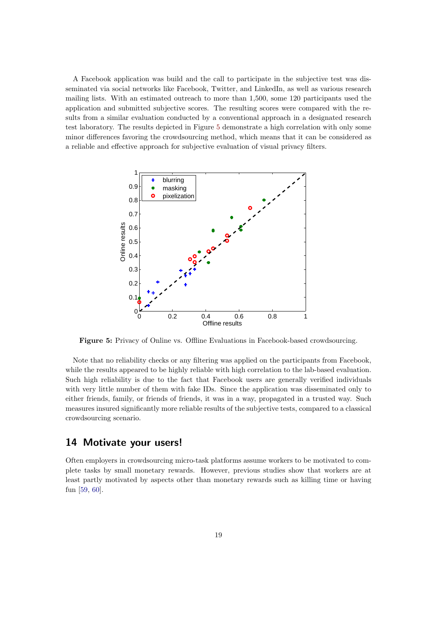A Facebook application was build and the call to participate in the subjective test was disseminated via social networks like Facebook, Twitter, and LinkedIn, as well as various research mailing lists. With an estimated outreach to more than 1,500, some 120 participants used the application and submitted subjective scores. The resulting scores were compared with the results from a similar evaluation conducted by a conventional approach in a designated research test laboratory. The results depicted in Figure [5](#page-18-1) demonstrate a high correlation with only some minor differences favoring the crowdsourcing method, which means that it can be considered as a reliable and effective approach for subjective evaluation of visual privacy filters.

<span id="page-18-1"></span>

Figure 5: Privacy of Online vs. Offline Evaluations in Facebook-based crowdsourcing.

Note that no reliability checks or any filtering was applied on the participants from Facebook, while the results appeared to be highly reliable with high correlation to the lab-based evaluation. Such high reliability is due to the fact that Facebook users are generally verified individuals with very little number of them with fake IDs. Since the application was disseminated only to either friends, family, or friends of friends, it was in a way, propagated in a trusted way. Such measures insured significantly more reliable results of the subjective tests, compared to a classical crowdsourcing scenario.

#### <span id="page-18-0"></span>14 Motivate your users!

Often employers in crowdsourcing micro-task platforms assume workers to be motivated to complete tasks by small monetary rewards. However, previous studies show that workers are at least partly motivated by aspects other than monetary rewards such as killing time or having fun [\[59,](#page-26-7) [60\]](#page-26-8).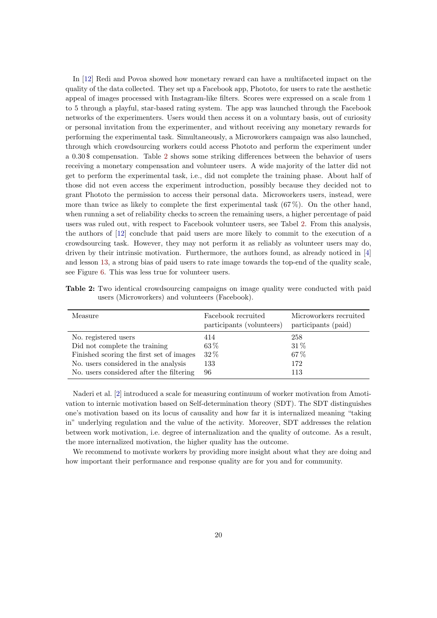In [\[12\]](#page-23-2) Redi and Povoa showed how monetary reward can have a multifaceted impact on the quality of the data collected. They set up a Facebook app, Phototo, for users to rate the aesthetic appeal of images processed with Instagram-like filters. Scores were expressed on a scale from 1 to 5 through a playful, star-based rating system. The app was launched through the Facebook networks of the experimenters. Users would then access it on a voluntary basis, out of curiosity or personal invitation from the experimenter, and without receiving any monetary rewards for performing the experimental task. Simultaneously, a Microworkers campaign was also launched, through which crowdsourcing workers could access Phototo and perform the experiment under a 0.30 \$ compensation. Table [2](#page-19-0) shows some striking differences between the behavior of users receiving a monetary compensation and volunteer users. A wide majority of the latter did not get to perform the experimental task, i.e., did not complete the training phase. About half of those did not even access the experiment introduction, possibly because they decided not to grant Phototo the permission to access their personal data. Microworkers users, instead, were more than twice as likely to complete the first experimental task  $(67\%)$ . On the other hand, when running a set of reliability checks to screen the remaining users, a higher percentage of paid users was ruled out, with respect to Facebook volunteer users, see Tabel [2.](#page-19-0) From this analysis, the authors of [\[12\]](#page-23-2) conclude that paid users are more likely to commit to the execution of a crowdsourcing task. However, they may not perform it as reliably as volunteer users may do, driven by their intrinsic motivation. Furthermore, the authors found, as already noticed in [\[4\]](#page-22-4) and lesson [13,](#page-17-0) a strong bias of paid users to rate image towards the top-end of the quality scale, see Figure [6.](#page-20-1) This was less true for volunteer users.

<span id="page-19-0"></span>Table 2: Two identical crowdsourcing campaigns on image quality were conducted with paid users (Microworkers) and volunteers (Facebook).

| Measure                                  | Facebook recruited<br>participants (volunteers) | Microworkers recruited<br>participants (paid) |
|------------------------------------------|-------------------------------------------------|-----------------------------------------------|
| No. registered users                     | 414                                             | 258                                           |
| Did not complete the training            | 63%                                             | $31\%$                                        |
| Finished scoring the first set of images | 32%                                             | $67\%$                                        |
| No. users considered in the analysis     | 133                                             | 172                                           |
| No. users considered after the filtering | 96                                              | 113                                           |

Naderi et al. [\[2\]](#page-22-2) introduced a scale for measuring continuum of worker motivation from Amotivation to internic motivation based on Self-determination theory (SDT). The SDT distinguishes one's motivation based on its locus of causality and how far it is internalized meaning "taking in" underlying regulation and the value of the activity. Moreover, SDT addresses the relation between work motivation, i.e. degree of internalization and the quality of outcome. As a result, the more internalized motivation, the higher quality has the outcome.

We recommend to motivate workers by providing more insight about what they are doing and how important their performance and response quality are for you and for community.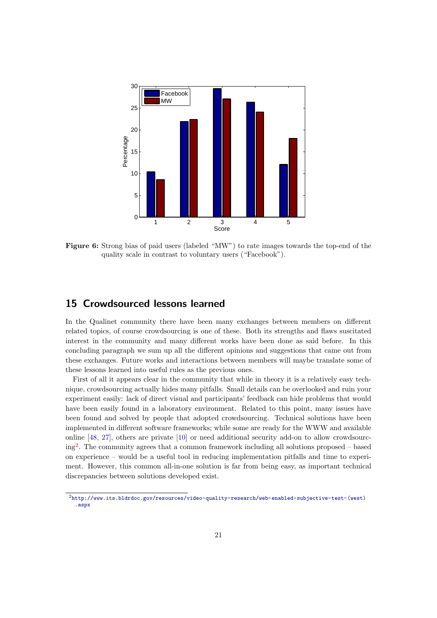<span id="page-20-1"></span>

Figure 6: Strong bias of paid users (labeled "MW") to rate images towards the top-end of the quality scale in contrast to voluntary users ("Facebook").

#### <span id="page-20-0"></span>15 Crowdsourced lessons learned

In the Qualinet community there have been many exchanges between members on different related topics, of course crowdsourcing is one of these. Both its strengths and flaws suscitated interest in the community and many different works have been done as said before. In this concluding paragraph we sum up all the different opinions and suggestions that came out from these exchanges. Future works and interactions between members will maybe translate some of these lessons learned into useful rules as the previous ones.

First of all it appears clear in the community that while in theory it is a relatively easy technique, crowdsourcing actually hides many pitfalls. Small details can be overlooked and ruin your experiment easily: lack of direct visual and participants' feedback can hide problems that would have been easily found in a laboratory environment. Related to this point, many issues have been found and solved by people that adopted crowdsourcing. Technical solutions have been implemented in different software frameworks; while some are ready for the WWW and available online [\[48,](#page-25-9) [27\]](#page-24-10), others are private [\[10\]](#page-22-1) or need additional security add-on to allow crowdsourcing[2](#page-20-2) . The community agrees that a common framework including all solutions proposed – based on experience – would be a useful tool in reducing implementation pitfalls and time to experiment. However, this common all-in-one solution is far from being easy, as important technical discrepancies between solutions developed exist.

<span id="page-20-2"></span> $2$ [http://www.its.bldrdoc.gov/resources/video-quality-research/web-enabled-subjective-test-\(west\)](http://www.its.bldrdoc.gov/resources/video-quality-research/web-enabled-subjective-test-(west).aspx) [.aspx](http://www.its.bldrdoc.gov/resources/video-quality-research/web-enabled-subjective-test-(west).aspx)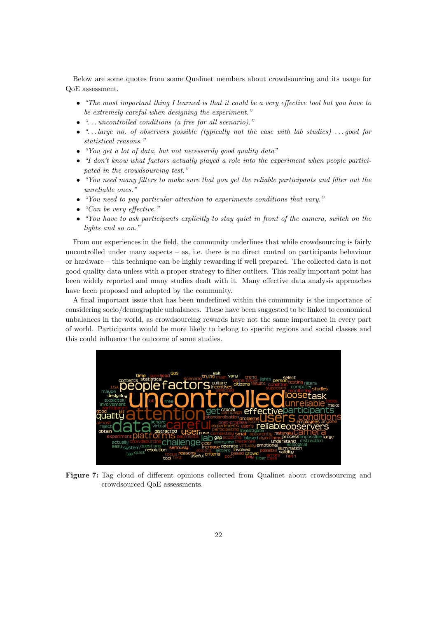Below are some quotes from some Qualinet members about crowdsourcing and its usage for QoE assessment.

- "The most important thing I learned is that it could be a very effective tool but you have to be extremely careful when designing the experiment."
- ". . . uncontrolled conditions (a free for all scenario)."
- $\bullet$  "... large no. of observers possible (typically not the case with lab studies) ... good for statistical reasons."
- "You get a lot of data, but not necessarily good quality data"
- "I don't know what factors actually played a role into the experiment when people participated in the crowdsourcing test."
- "You need many filters to make sure that you get the reliable participants and filter out the unreliable ones."
- "You need to pay particular attention to experiments conditions that vary."
- "Can be very effective."
- "You have to ask participants explicitly to stay quiet in front of the camera, switch on the lights and so on."

From our experiences in the field, the community underlines that while crowdsourcing is fairly uncontrolled under many aspects – as, i.e. there is no direct control on participants behaviour or hardware – this technique can be highly rewarding if well prepared. The collected data is not good quality data unless with a proper strategy to filter outliers. This really important point has been widely reported and many studies dealt with it. Many effective data analysis approaches have been proposed and adopted by the community.

A final important issue that has been underlined within the community is the importance of considering socio/demographic unbalances. These have been suggested to be linked to economical unbalances in the world, as crowdsourcing rewards have not the same importance in every part of world. Participants would be more likely to belong to specific regions and social classes and this could influence the outcome of some studies.



Figure 7: Tag cloud of different opinions collected from Qualinet about crowdsourcing and crowdsourced QoE assessments.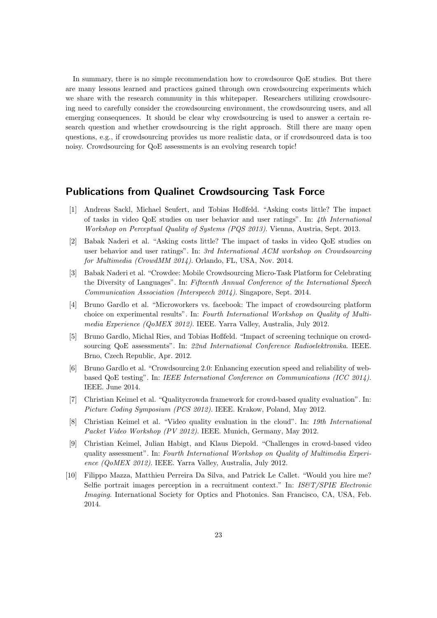In summary, there is no simple recommendation how to crowdsource QoE studies. But there are many lessons learned and practices gained through own crowdsourcing experiments which we share with the research community in this whitepaper. Researchers utilizing crowdsourcing need to carefully consider the crowdsourcing environment, the crowdsourcing users, and all emerging consequences. It should be clear why crowdsourcing is used to answer a certain research question and whether crowdsourcing is the right approach. Still there are many open questions, e.g., if crowdsourcing provides us more realistic data, or if crowdsourced data is too noisy. Crowdsourcing for QoE assessments is an evolving research topic!

#### <span id="page-22-10"></span>Publications from Qualinet Crowdsourcing Task Force

- <span id="page-22-3"></span>[1] Andreas Sackl, Michael Seufert, and Tobias Hoßfeld. "Asking costs little? The impact of tasks in video QoE studies on user behavior and user ratings". In: 4th International Workshop on Perceptual Quality of Systems (PQS 2013). Vienna, Austria, Sept. 2013.
- <span id="page-22-2"></span>[2] Babak Naderi et al. "Asking costs little? The impact of tasks in video QoE studies on user behavior and user ratings". In: 3rd International ACM workshop on Crowdsourcing for Multimedia (CrowdMM 2014). Orlando, FL, USA, Nov. 2014.
- <span id="page-22-7"></span>[3] Babak Naderi et al. "Crowdee: Mobile Crowdsourcing Micro-Task Platform for Celebrating the Diversity of Languages". In: Fifteenth Annual Conference of the International Speech Communication Association (Interspeech 2014). Singapore, Sept. 2014.
- <span id="page-22-4"></span>[4] Bruno Gardlo et al. "Microworkers vs. facebook: The impact of crowdsourcing platform choice on experimental results". In: Fourth International Workshop on Quality of Multimedia Experience (QoMEX 2012). IEEE. Yarra Valley, Australia, July 2012.
- <span id="page-22-5"></span>[5] Bruno Gardlo, Michal Ries, and Tobias Hoßfeld. "Impact of screening technique on crowdsourcing QoE assessments". In: 22nd International Conference Radioelektronika. IEEE. Brno, Czech Republic, Apr. 2012.
- <span id="page-22-6"></span>[6] Bruno Gardlo et al. "Crowdsourcing 2.0: Enhancing execution speed and reliability of webbased QoE testing". In: IEEE International Conference on Communications (ICC 2014). IEEE. June 2014.
- <span id="page-22-8"></span>[7] Christian Keimel et al. "Qualitycrowda framework for crowd-based quality evaluation". In: Picture Coding Symposium (PCS 2012). IEEE. Krakow, Poland, May 2012.
- <span id="page-22-9"></span>[8] Christian Keimel et al. "Video quality evaluation in the cloud". In: 19th International Packet Video Workshop (PV 2012). IEEE. Munich, Germany, May 2012.
- <span id="page-22-0"></span>[9] Christian Keimel, Julian Habigt, and Klaus Diepold. "Challenges in crowd-based video quality assessment". In: Fourth International Workshop on Quality of Multimedia Experience (QoMEX 2012). IEEE. Yarra Valley, Australia, July 2012.
- <span id="page-22-1"></span>[10] Filippo Mazza, Matthieu Perreira Da Silva, and Patrick Le Callet. "Would you hire me? Selfie portrait images perception in a recruitment context." In: IS&T/SPIE Electronic Imaging. International Society for Optics and Photonics. San Francisco, CA, USA, Feb. 2014.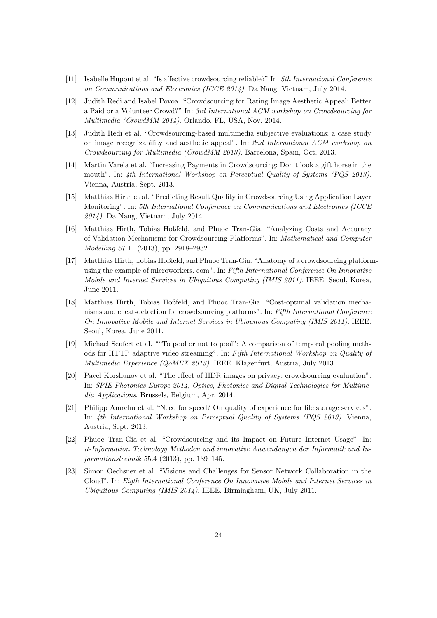- <span id="page-23-6"></span>[11] Isabelle Hupont et al. "Is affective crowdsourcing reliable?" In: 5th International Conference on Communications and Electronics (ICCE 2014). Da Nang, Vietnam, July 2014.
- <span id="page-23-2"></span>[12] Judith Redi and Isabel Povoa. "Crowdsourcing for Rating Image Aesthetic Appeal: Better a Paid or a Volunteer Crowd?" In: 3rd International ACM workshop on Crowdsourcing for Multimedia (CrowdMM 2014). Orlando, FL, USA, Nov. 2014.
- <span id="page-23-3"></span>[13] Judith Redi et al. "Crowdsourcing-based multimedia subjective evaluations: a case study on image recognizability and aesthetic appeal". In: 2nd International ACM workshop on Crowdsourcing for Multimedia (CrowdMM 2013). Barcelona, Spain, Oct. 2013.
- <span id="page-23-4"></span>[14] Martin Varela et al. "Increasing Payments in Crowdsourcing: Don't look a gift horse in the mouth". In: 4th International Workshop on Perceptual Quality of Systems (PQS 2013). Vienna, Austria, Sept. 2013.
- <span id="page-23-7"></span>[15] Matthias Hirth et al. "Predicting Result Quality in Crowdsourcing Using Application Layer Monitoring". In: 5th International Conference on Communications and Electronics (ICCE 2014). Da Nang, Vietnam, July 2014.
- [16] Matthias Hirth, Tobias Hoßfeld, and Phuoc Tran-Gia. "Analyzing Costs and Accuracy of Validation Mechanisms for Crowdsourcing Platforms". In: Mathematical and Computer Modelling 57.11 (2013), pp. 2918–2932.
- <span id="page-23-8"></span>[17] Matthias Hirth, Tobias Hoßfeld, and Phuoc Tran-Gia. "Anatomy of a crowdsourcing platformusing the example of microworkers. com". In: Fifth International Conference On Innovative Mobile and Internet Services in Ubiquitous Computing (IMIS 2011). IEEE. Seoul, Korea, June 2011.
- [18] Matthias Hirth, Tobias Hoßfeld, and Phuoc Tran-Gia. "Cost-optimal validation mechanisms and cheat-detection for crowdsourcing platforms". In: Fifth International Conference On Innovative Mobile and Internet Services in Ubiquitous Computing (IMIS 2011). IEEE. Seoul, Korea, June 2011.
- <span id="page-23-0"></span>[19] Michael Seufert et al. ""To pool or not to pool": A comparison of temporal pooling methods for HTTP adaptive video streaming". In: Fifth International Workshop on Quality of Multimedia Experience (QoMEX 2013). IEEE. Klagenfurt, Austria, July 2013.
- <span id="page-23-1"></span>[20] Pavel Korshunov et al. "The effect of HDR images on privacy: crowdsourcing evaluation". In: SPIE Photonics Europe 2014, Optics, Photonics and Digital Technologies for Multimedia Applications. Brussels, Belgium, Apr. 2014.
- <span id="page-23-5"></span>[21] Philipp Amrehn et al. "Need for speed? On quality of experience for file storage services". In: 4th International Workshop on Perceptual Quality of Systems (PQS 2013). Vienna, Austria, Sept. 2013.
- [22] Phuoc Tran-Gia et al. "Crowdsourcing and its Impact on Future Internet Usage". In: it-Information Technology Methoden und innovative Anwendungen der Informatik und Informationstechnik 55.4 (2013), pp. 139–145.
- [23] Simon Oechsner et al. "Visions and Challenges for Sensor Network Collaboration in the Cloud". In: Eigth International Conference On Innovative Mobile and Internet Services in Ubiquitous Computing (IMIS 2014). IEEE. Birmingham, UK, July 2011.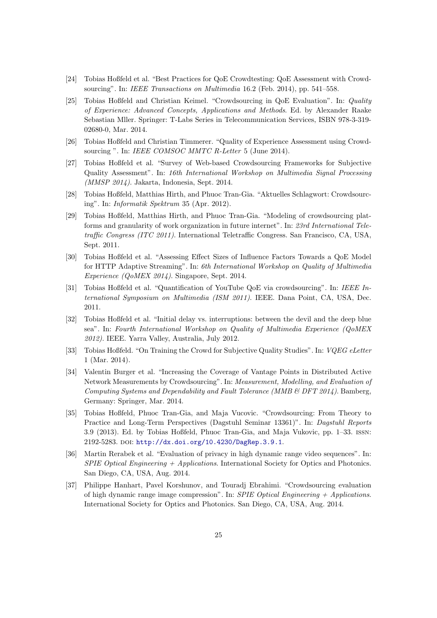- <span id="page-24-8"></span>[24] Tobias Hoßfeld et al. "Best Practices for QoE Crowdtesting: QoE Assessment with Crowdsourcing". In: IEEE Transactions on Multimedia 16.2 (Feb. 2014), pp. 541–558.
- <span id="page-24-0"></span>[25] Tobias Hoßfeld and Christian Keimel. "Crowdsourcing in QoE Evaluation". In: Quality of Experience: Advanced Concepts, Applications and Methods. Ed. by Alexander Raake Sebastian Mller. Springer: T-Labs Series in Telecommunication Services, ISBN 978-3-319- 02680-0, Mar. 2014.
- <span id="page-24-1"></span>[26] Tobias Hoßfeld and Christian Timmerer. "Quality of Experience Assessment using Crowdsourcing ". In: IEEE COMSOC MMTC R-Letter 5 (June 2014).
- <span id="page-24-10"></span>[27] Tobias Hoßfeld et al. "Survey of Web-based Crowdsourcing Frameworks for Subjective Quality Assessment". In: 16th International Workshop on Multimedia Signal Processing (MMSP 2014). Jakarta, Indonesia, Sept. 2014.
- [28] Tobias Hoßfeld, Matthias Hirth, and Phuoc Tran-Gia. "Aktuelles Schlagwort: Crowdsourcing". In: Informatik Spektrum 35 (Apr. 2012).
- [29] Tobias Hoßfeld, Matthias Hirth, and Phuoc Tran-Gia. "Modeling of crowdsourcing platforms and granularity of work organization in future internet". In: 23rd International Teletraffic Congress (ITC 2011). International Teletraffic Congress. San Francisco, CA, USA, Sept. 2011.
- <span id="page-24-4"></span>[30] Tobias Hoßfeld et al. "Assessing Effect Sizes of Influence Factors Towards a QoE Model for HTTP Adaptive Streaming". In: 6th International Workshop on Quality of Multimedia Experience (QoMEX 2014). Singapore, Sept. 2014.
- <span id="page-24-2"></span>[31] Tobias Hoßfeld et al. "Quantification of YouTube QoE via crowdsourcing". In: IEEE International Symposium on Multimedia (ISM 2011). IEEE. Dana Point, CA, USA, Dec. 2011.
- <span id="page-24-3"></span>[32] Tobias Hoßfeld et al. "Initial delay vs. interruptions: between the devil and the deep blue sea". In: Fourth International Workshop on Quality of Multimedia Experience (QoMEX 2012). IEEE. Yarra Valley, Australia, July 2012.
- <span id="page-24-9"></span>[33] Tobias Hoßfeld. "On Training the Crowd for Subjective Quality Studies". In: VQEG eLetter 1 (Mar. 2014).
- <span id="page-24-7"></span>[34] Valentin Burger et al. "Increasing the Coverage of Vantage Points in Distributed Active Network Measurements by Crowdsourcing". In: Measurement, Modelling, and Evaluation of Computing Systems and Dependability and Fault Tolerance (MMB & DFT 2014). Bamberg, Germany: Springer, Mar. 2014.
- <span id="page-24-11"></span>[35] Tobias Hoßfeld, Phuoc Tran-Gia, and Maja Vucovic. "Crowdsourcing: From Theory to Practice and Long-Term Perspectives (Dagstuhl Seminar 13361)". In: Dagstuhl Reports 3.9 (2013). Ed. by Tobias Hoßfeld, Phuoc Tran-Gia, and Maja Vukovic, pp. 1–33. issn: 2192-5283. doi: [http://dx.doi.org/10.4230/DagRep.3.9.1](http://dx.doi.org/http://dx.doi.org/10.4230/DagRep.3.9.1).
- <span id="page-24-5"></span>[36] Martin Rerabek et al. "Evaluation of privacy in high dynamic range video sequences". In: SPIE Optical Engineering  $+$  Applications. International Society for Optics and Photonics. San Diego, CA, USA, Aug. 2014.
- <span id="page-24-6"></span>[37] Philippe Hanhart, Pavel Korshunov, and Touradj Ebrahimi. "Crowdsourcing evaluation of high dynamic range image compression". In: SPIE Optical Engineering  $+$  Applications. International Society for Optics and Photonics. San Diego, CA, USA, Aug. 2014.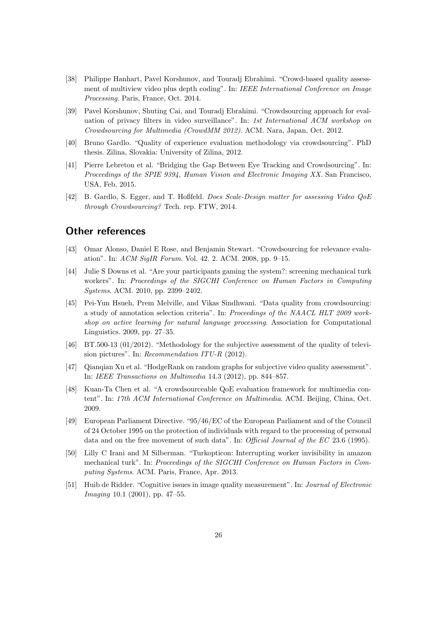- <span id="page-25-1"></span>[38] Philippe Hanhart, Pavel Korshunov, and Touradj Ebrahimi. "Crowd-based quality assessment of multiview video plus depth coding". In: IEEE International Conference on Image Processing. Paris, France, Oct. 2014.
- <span id="page-25-0"></span>[39] Pavel Korshunov, Shuting Cai, and Touradj Ebrahimi. "Crowdsourcing approach for evaluation of privacy filters in video surveillance". In: 1st International ACM workshop on Crowdsourcing for Multimedia (CrowdMM 2012). ACM. Nara, Japan, Oct. 2012.
- <span id="page-25-13"></span>[40] Bruno Gardlo. "Quality of experience evaluation methodology via crowdsourcing". PhD thesis. Zilina, Slovakia: University of Zilina, 2012.
- <span id="page-25-2"></span>[41] Pierre Lebreton et al. "Bridging the Gap Between Eye Tracking and Crowdsourcing". In: Proceedings of the SPIE 9394, Human Vision and Electronic Imaging XX. San Francisco, USA, Feb. 2015.
- <span id="page-25-14"></span>[42] B. Gardlo, S. Egger, and T. Hoßfeld. Does Scale-Design matter for assessing Video QoE through Crowdsourcing? Tech. rep. FTW, 2014.

#### <span id="page-25-3"></span>Other references

- <span id="page-25-4"></span>[43] Omar Alonso, Daniel E Rose, and Benjamin Stewart. "Crowdsourcing for relevance evaluation". In: ACM SigIR Forum. Vol. 42. 2. ACM. 2008, pp. 9–15.
- <span id="page-25-5"></span>[44] Julie S Downs et al. "Are your participants gaming the system?: screening mechanical turk workers". In: Proceedings of the SIGCHI Conference on Human Factors in Computing Systems. ACM. 2010, pp. 2399–2402.
- <span id="page-25-6"></span>[45] Pei-Yun Hsueh, Prem Melville, and Vikas Sindhwani. "Data quality from crowdsourcing: a study of annotation selection criteria". In: Proceedings of the NAACL HLT 2009 workshop on active learning for natural language processing. Association for Computational Linguistics. 2009, pp. 27–35.
- <span id="page-25-7"></span>[46] BT.500-13 (01/2012). "Methodology for the subjective assessment of the quality of television pictures". In: Recommendation ITU-R (2012).
- <span id="page-25-8"></span>[47] Qianqian Xu et al. "HodgeRank on random graphs for subjective video quality assessment". In: IEEE Transactions on Multimedia 14.3 (2012), pp. 844–857.
- <span id="page-25-9"></span>[48] Kuan-Ta Chen et al. "A crowdsourceable QoE evaluation framework for multimedia content". In: 17th ACM International Conference on Multimedia. ACM. Beijing, China, Oct. 2009.
- <span id="page-25-10"></span>[49] European Parliament Directive. "95/46/EC of the European Parliament and of the Council of 24 October 1995 on the protection of individuals with regard to the processing of personal data and on the free movement of such data". In: Official Journal of the EC 23.6 (1995).
- <span id="page-25-11"></span>[50] Lilly C Irani and M Silberman. "Turkopticon: Interrupting worker invisibility in amazon mechanical turk". In: Proceedings of the SIGCHI Conference on Human Factors in Computing Systems. ACM. Paris, France, Apr. 2013.
- <span id="page-25-12"></span>[51] Huib de Ridder. "Cognitive issues in image quality measurement". In: Journal of Electronic Imaging 10.1 (2001), pp. 47–55.